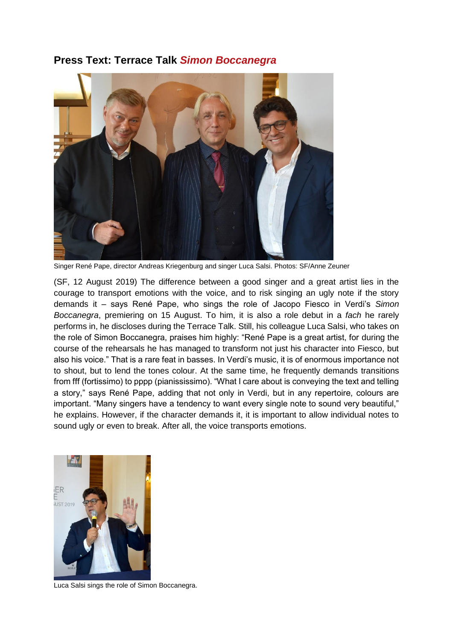## **Press Text: Terrace Talk** *Simon Boccanegra*



Singer René Pape, director Andreas Kriegenburg and singer Luca Salsi. Photos: SF/Anne Zeuner

(SF, 12 August 2019) The difference between a good singer and a great artist lies in the courage to transport emotions with the voice, and to risk singing an ugly note if the story demands it – says René Pape, who sings the role of Jacopo Fiesco in Verdi's *Simon Boccanegra*, premiering on 15 August. To him, it is also a role debut in a *fach* he rarely performs in, he discloses during the Terrace Talk. Still, his colleague Luca Salsi, who takes on the role of Simon Boccanegra, praises him highly: "René Pape is a great artist, for during the course of the rehearsals he has managed to transform not just his character into Fiesco, but also his voice." That is a rare feat in basses. In Verdi's music, it is of enormous importance not to shout, but to lend the tones colour. At the same time, he frequently demands transitions from fff (fortissimo) to pppp (pianississimo). "What I care about is conveying the text and telling a story," says René Pape, adding that not only in Verdi, but in any repertoire, colours are important. "Many singers have a tendency to want every single note to sound very beautiful," he explains. However, if the character demands it, it is important to allow individual notes to sound ugly or even to break. After all, the voice transports emotions.



Luca Salsi sings the role of Simon Boccanegra.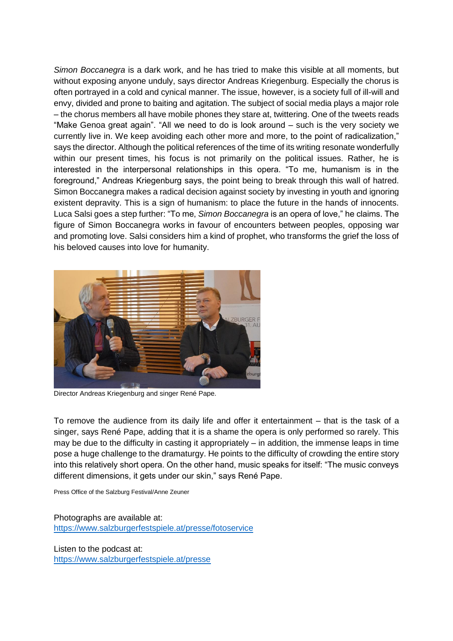*Simon Boccanegra* is a dark work, and he has tried to make this visible at all moments, but without exposing anyone unduly, says director Andreas Kriegenburg. Especially the chorus is often portrayed in a cold and cynical manner. The issue, however, is a society full of ill-will and envy, divided and prone to baiting and agitation. The subject of social media plays a major role – the chorus members all have mobile phones they stare at, twittering. One of the tweets reads "Make Genoa great again". "All we need to do is look around – such is the very society we currently live in. We keep avoiding each other more and more, to the point of radicalization," says the director. Although the political references of the time of its writing resonate wonderfully within our present times, his focus is not primarily on the political issues. Rather, he is interested in the interpersonal relationships in this opera. "To me, humanism is in the foreground," Andreas Kriegenburg says, the point being to break through this wall of hatred. Simon Boccanegra makes a radical decision against society by investing in youth and ignoring existent depravity. This is a sign of humanism: to place the future in the hands of innocents. Luca Salsi goes a step further: "To me, *Simon Boccanegra* is an opera of love," he claims. The figure of Simon Boccanegra works in favour of encounters between peoples, opposing war and promoting love. Salsi considers him a kind of prophet, who transforms the grief the loss of his beloved causes into love for humanity.



Director Andreas Kriegenburg and singer René Pape.

To remove the audience from its daily life and offer it entertainment – that is the task of a singer, says René Pape, adding that it is a shame the opera is only performed so rarely. This may be due to the difficulty in casting it appropriately – in addition, the immense leaps in time pose a huge challenge to the dramaturgy. He points to the difficulty of crowding the entire story into this relatively short opera. On the other hand, music speaks for itself: "The music conveys different dimensions, it gets under our skin," says René Pape.

Press Office of the Salzburg Festival/Anne Zeuner

Photographs are available at: <https://www.salzburgerfestspiele.at/presse/fotoservice>

Listen to the podcast at: <https://www.salzburgerfestspiele.at/presse>